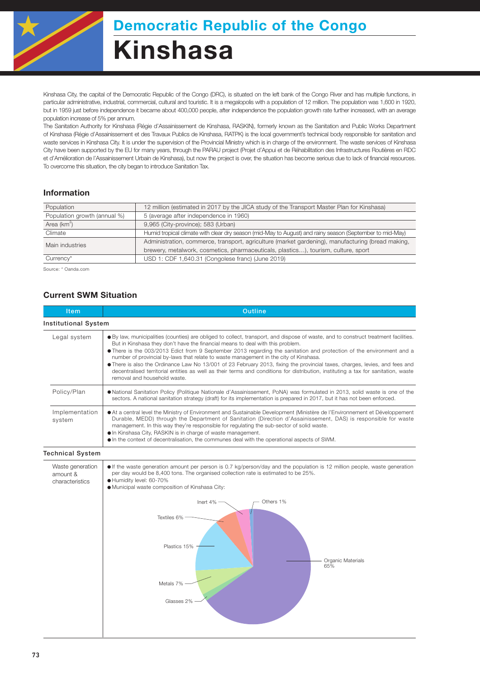

Kinshasa City, the capital of the Democratic Republic of the Congo (DRC), is situated on the left bank of the Congo River and has multiple functions, in particular administrative, industrial, commercial, cultural and touristic. It is a megalopolis with a population of 12 million. The population was 1,600 in 1920, but in 1959 just before independence it became about 400,000 people, after independence the population growth rate further increased, with an average population increase of 5% per annum.

The Sanitation Authority for Kinshasa (Régie d'Assainissement de Kinshasa, RASKIN), formerly known as the Sanitation and Public Works Department of Kinshasa (Régie d'Assainissement et des Travaux Publics de Kinshasa, RATPK) is the local government's technical body responsible for sanitation and waste services in Kinshasa City. It is under the supervision of the Provincial Ministry which is in charge of the environment. The waste services of Kinshasa City have been supported by the EU for many years, through the PARAU project (Projet d'Appui et de Réhabilitation des Infrastructures Routières en RDC et d'Amélioration de l'Assainissement Urbain de Kinshasa), but now the project is over, the situation has become serious due to lack of financial resources. To overcome this situation, the city began to introduce Sanitation Tax.

### Information

| Population                   | 12 million (estimated in 2017 by the JICA study of the Transport Master Plan for Kinshasa)               |  |  |
|------------------------------|----------------------------------------------------------------------------------------------------------|--|--|
| Population growth (annual %) | 5 (average after independence in 1960)                                                                   |  |  |
| Area $(km^2)$                | 9,965 (City-province); 583 (Urban)                                                                       |  |  |
| Climate                      | Humid tropical climate with clear dry season (mid-May to August) and rainy season (September to mid-May) |  |  |
| Main industries              | Administration, commerce, transport, agriculture (market gardening), manufacturing (bread making,        |  |  |
|                              | brewery, metalwork, cosmetics, pharmaceuticals, plastics), tourism, culture, sport                       |  |  |
| Currency*                    | USD 1: CDF 1,640.31 (Congolese franc) (June 2019)                                                        |  |  |
|                              |                                                                                                          |  |  |

Source: \* Oanda.com

### Current SWM Situation

| Outline                                                                                                                                                                                                                                                                                                                                                                                                                                                                                                                                                                                                                                                                                                                                   |  |  |
|-------------------------------------------------------------------------------------------------------------------------------------------------------------------------------------------------------------------------------------------------------------------------------------------------------------------------------------------------------------------------------------------------------------------------------------------------------------------------------------------------------------------------------------------------------------------------------------------------------------------------------------------------------------------------------------------------------------------------------------------|--|--|
| <b>Institutional System</b>                                                                                                                                                                                                                                                                                                                                                                                                                                                                                                                                                                                                                                                                                                               |  |  |
| ● By law, municipalities (counties) are obliged to collect, transport, and dispose of waste, and to construct treatment facilities.<br>But in Kinshasa they don't have the financial means to deal with this problem.<br>• There is the 003/2013 Edict from 9 September 2013 regarding the sanitation and protection of the environment and a<br>number of provincial by-laws that relate to waste management in the city of Kinshasa.<br>There is also the Ordinance Law No 13/001 of 23 February 2013, fixing the provincial taxes, charges, levies, and fees and<br>decentralised territorial entities as well as their terms and conditions for distribution, instituting a tax for sanitation, waste<br>removal and household waste. |  |  |
| . National Sanitation Policy (Politique Nationale d'Assainissement, PoNA) was formulated in 2013, solid waste is one of the<br>sectors. A national sanitation strategy (draft) for its implementation is prepared in 2017, but it has not been enforced.                                                                                                                                                                                                                                                                                                                                                                                                                                                                                  |  |  |
| At a central level the Ministry of Environment and Sustainable Development (Ministère de l'Environnement et Développement<br>Durable, MEDD) through the Department of Sanitation (Direction d'Assainissement, DAS) is responsible for waste<br>management. In this way they're responsible for regulating the sub-sector of solid waste.<br>. In Kinshasa City, RASKIN is in charge of waste management.<br>• In the context of decentralisation, the communes deal with the operational aspects of SWM.                                                                                                                                                                                                                                  |  |  |
|                                                                                                                                                                                                                                                                                                                                                                                                                                                                                                                                                                                                                                                                                                                                           |  |  |
| • If the waste generation amount per person is 0.7 kg/person/day and the population is 12 million people, waste generation<br>per day would be 8,400 tons. The organised collection rate is estimated to be 25%.<br>Humidity level: 60-70%<br>· Municipal waste composition of Kinshasa City:<br>Others 1%<br>Inert 4%<br>Textiles 6%<br>Plastics 15%<br>Organic Materials<br>65%<br>Metals 7%<br>Glasses 2%                                                                                                                                                                                                                                                                                                                              |  |  |
|                                                                                                                                                                                                                                                                                                                                                                                                                                                                                                                                                                                                                                                                                                                                           |  |  |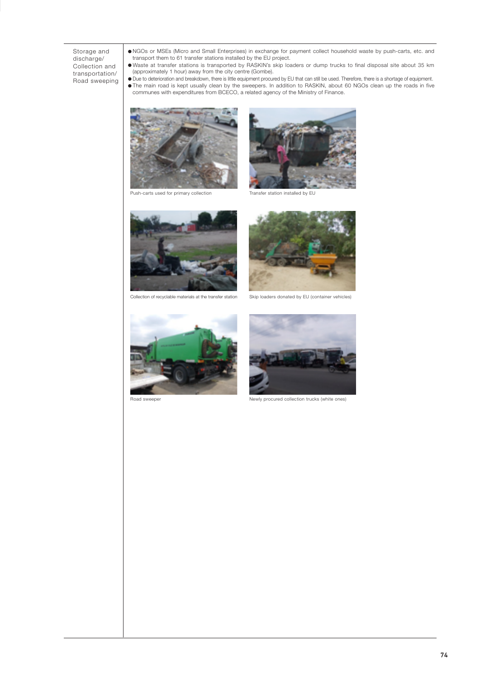#### Storage and discharge/ Collection and transportation/ Road sweeping

NGOs or MSEs (Micro and Small Enterprises) in exchange for payment collect household waste by push-carts, etc. and transport them to 61 transfer stations installed by the EU project.

- Waste at transfer stations is transported by RASKIN's skip loaders or dump trucks to final disposal site about 35 km (approximately 1 hour) away from the city centre (Gombe).
- Due to deterioration and breakdown, there is little equipment procured by EU that can still be used. Therefore, there is a shortage of equipment.<br>The main road is kept usually clean by the sweepers. In addition to RASKIN, communes with expenditures from BCECO, a related agency of the Ministry of Finance.



Push-carts used for primary collection



Transfer station installed by EU



Collection of recyclable materials at the transfer station



Skip loaders donated by EU (container vehicles)



Road sweeper



Newly procured collection trucks (white ones)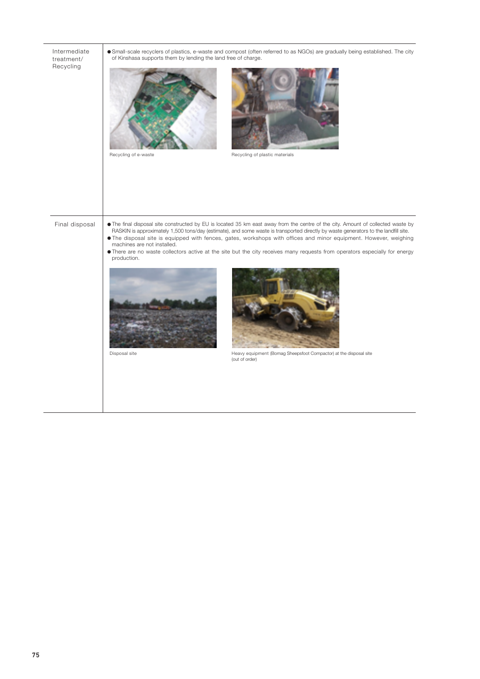